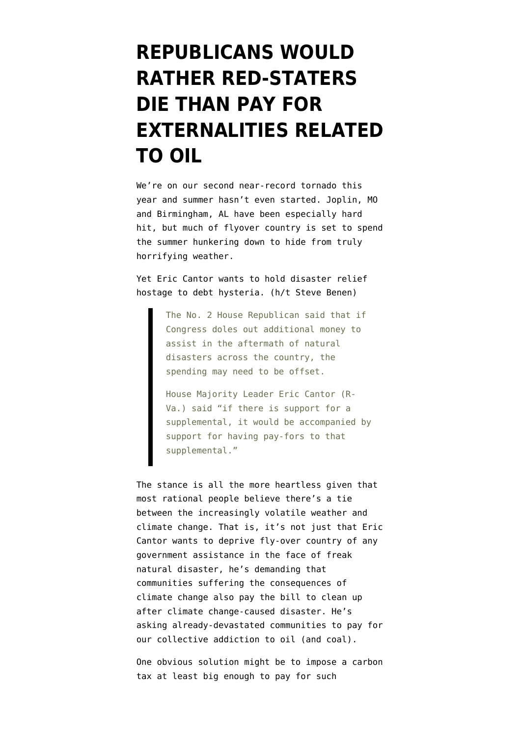## **[REPUBLICANS WOULD](https://www.emptywheel.net/2011/05/24/republicans-would-rather-red-staters-die-than-pay-for-externalities-related-to-oil/) [RATHER RED-STATERS](https://www.emptywheel.net/2011/05/24/republicans-would-rather-red-staters-die-than-pay-for-externalities-related-to-oil/) [DIE THAN PAY FOR](https://www.emptywheel.net/2011/05/24/republicans-would-rather-red-staters-die-than-pay-for-externalities-related-to-oil/) [EXTERNALITIES RELATED](https://www.emptywheel.net/2011/05/24/republicans-would-rather-red-staters-die-than-pay-for-externalities-related-to-oil/) [TO OIL](https://www.emptywheel.net/2011/05/24/republicans-would-rather-red-staters-die-than-pay-for-externalities-related-to-oil/)**

We're on our second near-record tornado this year and summer hasn't even started. Joplin, MO and Birmingham, AL have been especially hard hit, but much of flyover country is set to spend the summer [hunkering down to hide from truly](http://www.youtube.com/watch?v=cQnvxJZucds&feature=player_embedded) [horrifying weather.](http://www.youtube.com/watch?v=cQnvxJZucds&feature=player_embedded)

Yet Eric Cantor [wants](http://www.politico.com/news/stories/0511/55513.html) to hold disaster relief hostage to debt hysteria. (h/t [Steve Benen](http://www.washingtonmonthly.com/political-animal/2011_05/cantor_demands_spendingcut_ran029799.php))

> The No. 2 House Republican said that if Congress doles out additional money to assist in the aftermath of natural disasters across the country, the spending may need to be offset.

House Majority Leader Eric Cantor (R-Va.) said "if there is support for a supplemental, it would be accompanied by support for having pay-fors to that supplemental."

The stance is all the more heartless given that most rational people believe there's a tie between the increasingly volatile weather and climate change. That is, it's not just that Eric Cantor wants to deprive fly-over country of any government assistance in the face of freak natural disaster, he's demanding that communities suffering the consequences of climate change also pay the bill to clean up after climate change-caused disaster. He's asking already-devastated communities to pay for our collective addiction to oil (and coal).

One obvious solution might be to impose a carbon tax at least big enough to pay for such